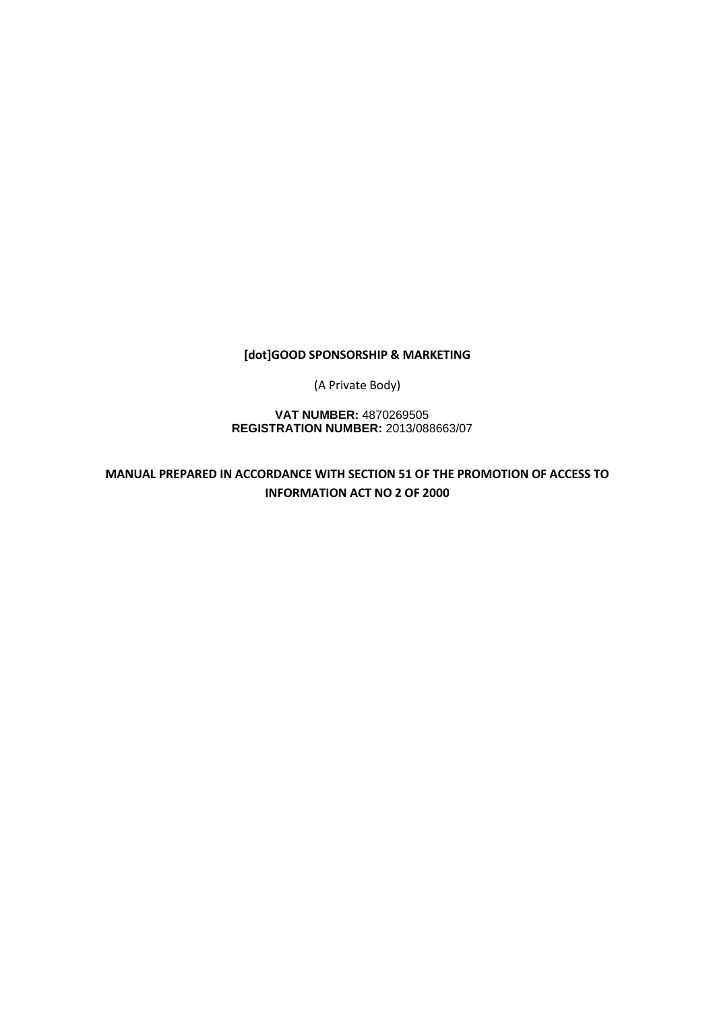# **[dot]GOOD SPONSORSHIP & MARKETING**

(A Private Body)

**VAT NUMBER:** 4870269505 **REGISTRATION NUMBER:** 2013/088663/07

**MANUAL PREPARED IN ACCORDANCE WITH SECTION 51 OF THE PROMOTION OF ACCESS TO INFORMATION ACT NO 2 OF 2000**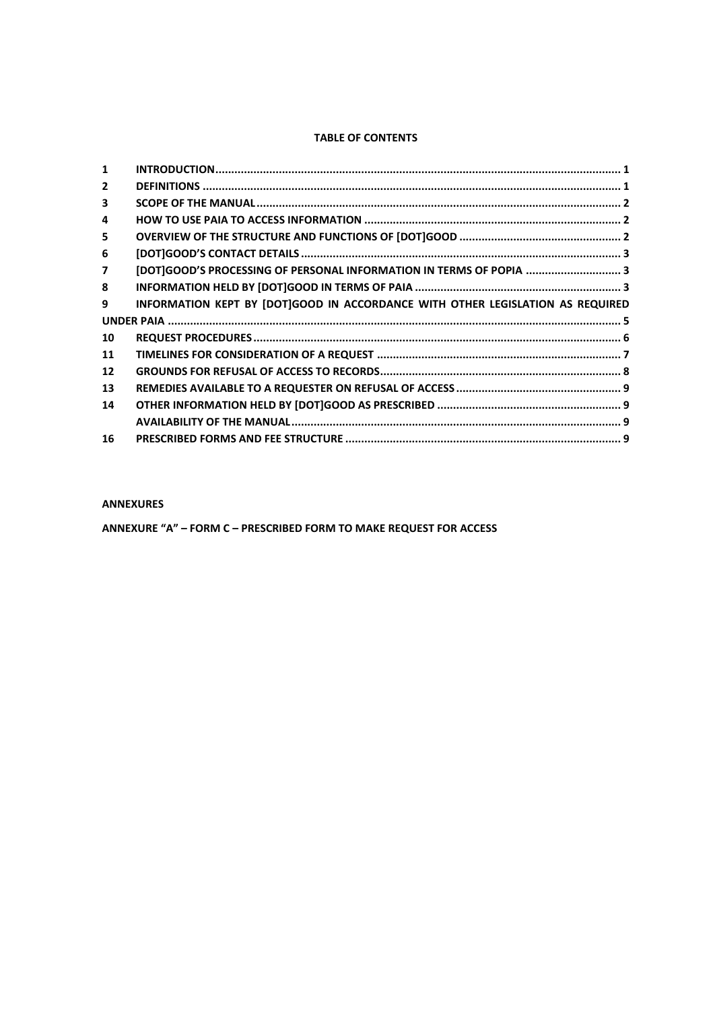# **TABLE OF CONTENTS**

| $\mathbf{1}$   |                                                                                |  |
|----------------|--------------------------------------------------------------------------------|--|
| $\overline{2}$ |                                                                                |  |
| 3              |                                                                                |  |
| 4              |                                                                                |  |
| 5              |                                                                                |  |
| 6              |                                                                                |  |
| 7              | [DOT]GOOD'S PROCESSING OF PERSONAL INFORMATION IN TERMS OF POPIA  3            |  |
| 8              |                                                                                |  |
| 9              | INFORMATION KEPT BY [DOT]GOOD IN ACCORDANCE WITH OTHER LEGISLATION AS REQUIRED |  |
|                |                                                                                |  |
| 10             |                                                                                |  |
| 11             |                                                                                |  |
| 12             |                                                                                |  |
| 13             |                                                                                |  |
| 14             |                                                                                |  |
|                |                                                                                |  |
| 16             |                                                                                |  |
|                |                                                                                |  |

### **ANNEXURES**

**ANNEXURE "A" – FORM C – PRESCRIBED FORM TO MAKE REQUEST FOR ACCESS**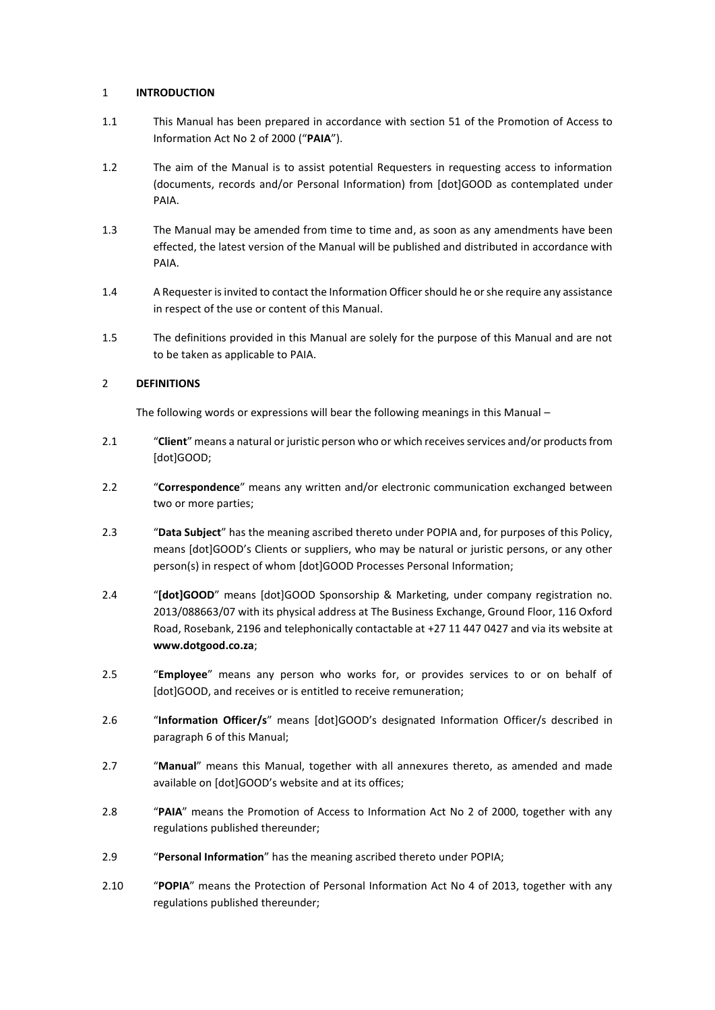# 1 **INTRODUCTION**

- 1.1 This Manual has been prepared in accordance with section 51 of the Promotion of Access to Information Act No 2 of 2000 ("**PAIA**").
- 1.2 The aim of the Manual is to assist potential Requesters in requesting access to information (documents, records and/or Personal Information) from [dot]GOOD as contemplated under PAIA.
- 1.3 The Manual may be amended from time to time and, as soon as any amendments have been effected, the latest version of the Manual will be published and distributed in accordance with PAIA.
- 1.4 A Requester is invited to contact the Information Officer should he or she require any assistance in respect of the use or content of this Manual.
- 1.5 The definitions provided in this Manual are solely for the purpose of this Manual and are not to be taken as applicable to PAIA.

# 2 **DEFINITIONS**

The following words or expressions will bear the following meanings in this Manual –

- 2.1 "**Client**" means a natural or juristic person who or which receives services and/or products from [dot]GOOD;
- 2.2 "**Correspondence**" means any written and/or electronic communication exchanged between two or more parties;
- 2.3 "**Data Subject**" has the meaning ascribed thereto under POPIA and, for purposes of this Policy, means [dot]GOOD's Clients or suppliers, who may be natural or juristic persons, or any other person(s) in respect of whom [dot]GOOD Processes Personal Information;
- 2.4 "**[dot]GOOD**" means [dot]GOOD Sponsorship & Marketing, under company registration no. 2013/088663/07 with its physical address at The Business Exchange, Ground Floor, 116 Oxford Road, Rosebank, 2196 and telephonically contactable at +27 11 447 0427 and via its website at **[www.dotgood.co.za](http://www.dotgood.co.za/)**;
- 2.5 "**Employee**" means any person who works for, or provides services to or on behalf of [dot]GOOD, and receives or is entitled to receive remuneration;
- 2.6 "**Information Officer/s**" means [dot]GOOD's designated Information Officer/s described in paragrap[h 6](#page-4-0) of this Manual;
- 2.7 "**Manual**" means this Manual, together with all annexures thereto, as amended and made available on [dot]GOOD's website and at its offices;
- 2.8 "**PAIA**" means the Promotion of Access to Information Act No 2 of 2000, together with any regulations published thereunder;
- 2.9 "**Personal Information**" has the meaning ascribed thereto under POPIA;
- 2.10 "**POPIA**" means the Protection of Personal Information Act No 4 of 2013, together with any regulations published thereunder;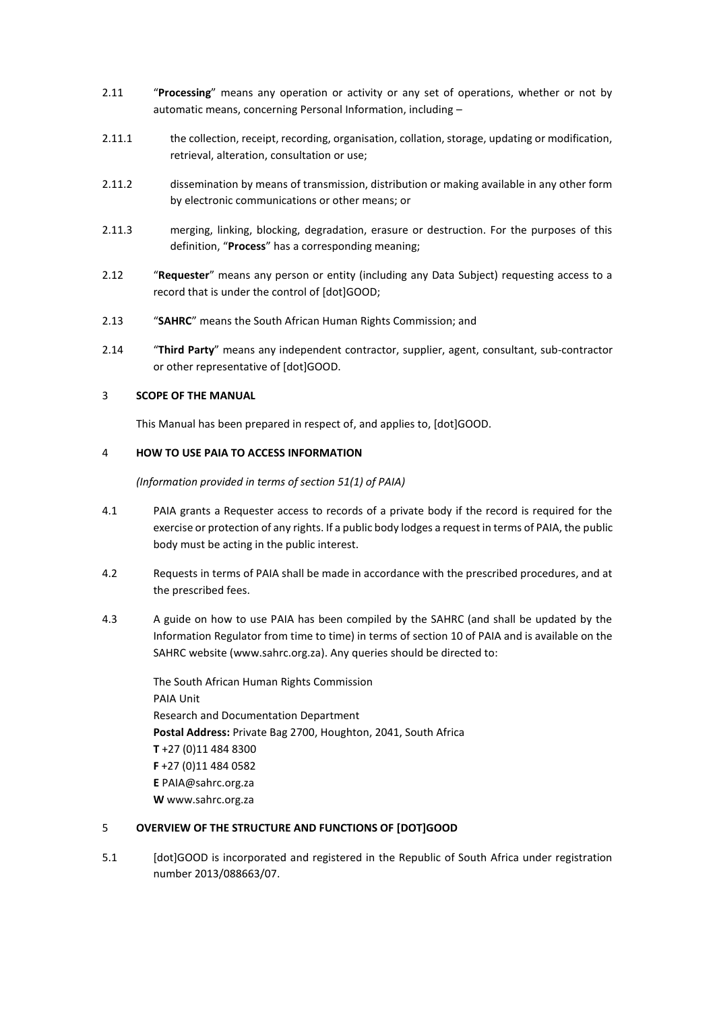- 2.11 "**Processing**" means any operation or activity or any set of operations, whether or not by automatic means, concerning Personal Information, including –
- 2.11.1 the collection, receipt, recording, organisation, collation, storage, updating or modification, retrieval, alteration, consultation or use;
- 2.11.2 dissemination by means of transmission, distribution or making available in any other form by electronic communications or other means; or
- 2.11.3 merging, linking, blocking, degradation, erasure or destruction. For the purposes of this definition, "**Process**" has a corresponding meaning;
- 2.12 "**Requester**" means any person or entity (including any Data Subject) requesting access to a record that is under the control of [dot]GOOD;
- 2.13 "**SAHRC**" means the South African Human Rights Commission; and
- 2.14 "**Third Party**" means any independent contractor, supplier, agent, consultant, sub-contractor or other representative of [dot]GOOD.

# 3 **SCOPE OF THE MANUAL**

This Manual has been prepared in respect of, and applies to, [dot]GOOD.

# 4 **HOW TO USE PAIA TO ACCESS INFORMATION**

*(Information provided in terms of section 51(1) of PAIA)*

- 4.1 PAIA grants a Requester access to records of a private body if the record is required for the exercise or protection of any rights. If a public body lodges a request in terms of PAIA, the public body must be acting in the public interest.
- 4.2 Requests in terms of PAIA shall be made in accordance with the prescribed procedures, and at the prescribed fees.
- 4.3 A guide on how to use PAIA has been compiled by the SAHRC (and shall be updated by the Information Regulator from time to time) in terms of section 10 of PAIA and is available on the SAHRC website [\(www.sahrc.org.za\)](http://www.sahrc.org.za/). Any queries should be directed to:

The South African Human Rights Commission PAIA Unit Research and Documentation Department **Postal Address:** Private Bag 2700, Houghton, 2041, South Africa **T** [+27 \(0\)11 484 8300](callto:+27114848300) **F** +27 (0)11 484 0582 **E** [PAIA@sahrc.org.za](mailto:PAIA@sahrc.org.za) **W** [www.sahrc.org.za](http://www.sahrc.org.za/)

# 5 **OVERVIEW OF THE STRUCTURE AND FUNCTIONS OF [DOT]GOOD**

5.1 [dot]GOOD is incorporated and registered in the Republic of South Africa under registration number 2013/088663/07.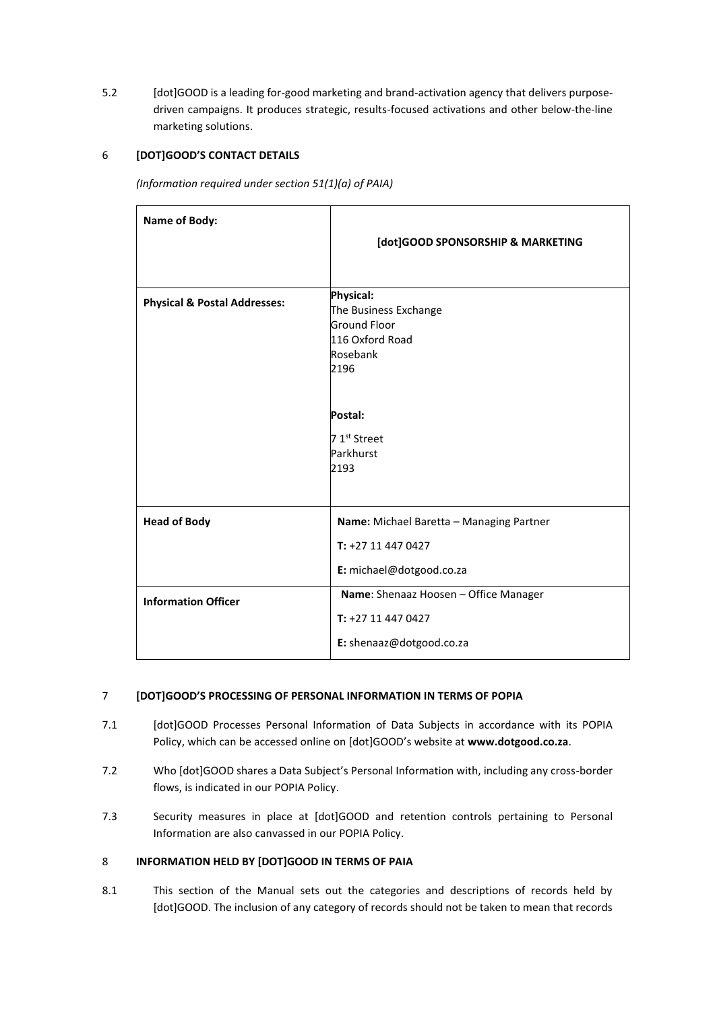5.2 [dot]GOOD is a leading for-good marketing and brand-activation agency that delivers purposedriven campaigns. It produces strategic, results-focused activations and other below-the-line marketing solutions.

# <span id="page-4-0"></span>6 **[DOT]GOOD'S CONTACT DETAILS**

*(Information required under section 51(1)(a) of PAIA)*

| Name of Body:                                     | [dot]GOOD SPONSORSHIP & MARKETING                                                                                                                                                    |
|---------------------------------------------------|--------------------------------------------------------------------------------------------------------------------------------------------------------------------------------------|
| <b>Physical &amp; Postal Addresses:</b>           | <b>Physical:</b><br>The Business Exchange<br><b>Ground Floor</b><br>116 Oxford Road<br>Rosebank<br>2196<br>Postal:<br>7 1 <sup>st</sup> Street<br>Parkhurst<br>2193                  |
| <b>Head of Body</b><br><b>Information Officer</b> | Name: Michael Baretta - Managing Partner<br>$T: +27114470427$<br>E: michael@dotgood.co.za<br>Name: Shenaaz Hoosen - Office Manager<br>T: +27 11 447 0427<br>E: shenaaz@dotgood.co.za |

# 7 **[DOT]GOOD'S PROCESSING OF PERSONAL INFORMATION IN TERMS OF POPIA**

- 7.1 [dot]GOOD Processes Personal Information of Data Subjects in accordance with its POPIA Policy, which can be accessed online on [dot]GOOD's website at **[www.dotgood.co.za](http://www.dotgood.co.za/)**.
- 7.2 Who [dot]GOOD shares a Data Subject's Personal Information with, including any cross-border flows, is indicated in our POPIA Policy.
- 7.3 Security measures in place at [dot]GOOD and retention controls pertaining to Personal Information are also canvassed in our POPIA Policy.

# 8 **INFORMATION HELD BY [DOT]GOOD IN TERMS OF PAIA**

8.1 This section of the Manual sets out the categories and descriptions of records held by [dot]GOOD. The inclusion of any category of records should not be taken to mean that records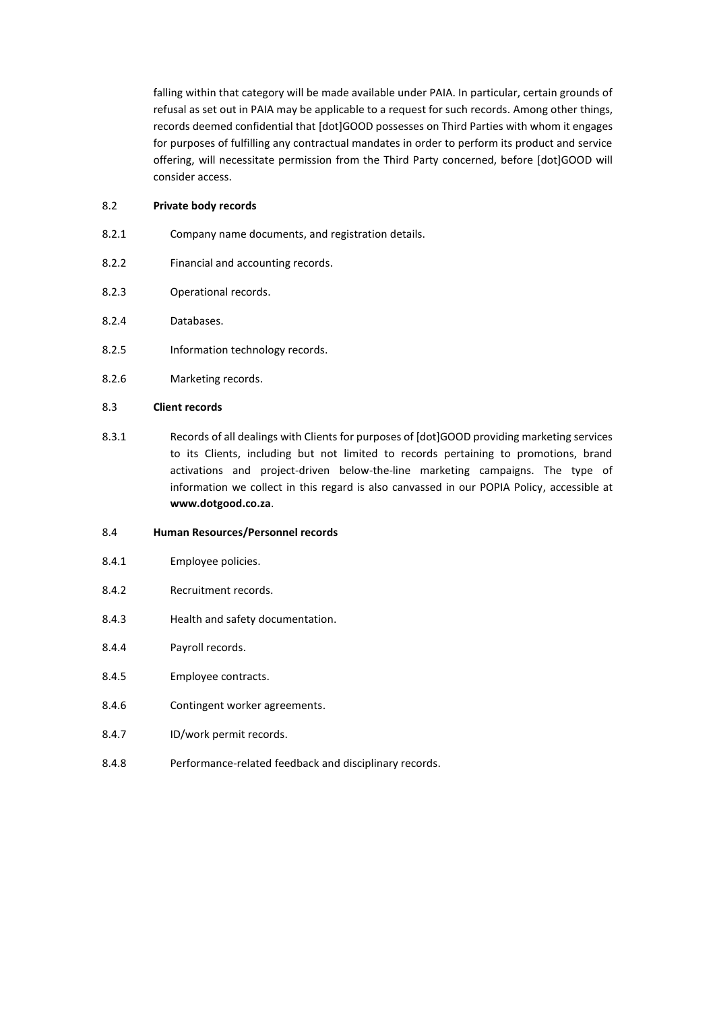falling within that category will be made available under PAIA. In particular, certain grounds of refusal as set out in PAIA may be applicable to a request for such records. Among other things, records deemed confidential that [dot]GOOD possesses on Third Parties with whom it engages for purposes of fulfilling any contractual mandates in order to perform its product and service offering, will necessitate permission from the Third Party concerned, before [dot]GOOD will consider access.

## 8.2 **Private body records**

- 8.2.1 Company name documents, and registration details.
- 8.2.2 Financial and accounting records.
- 8.2.3 Operational records.
- 8.2.4 Databases.
- 8.2.5 Information technology records.
- 8.2.6 Marketing records.

# 8.3 **Client records**

8.3.1 Records of all dealings with Clients for purposes of [dot]GOOD providing marketing services to its Clients, including but not limited to records pertaining to promotions, brand activations and project-driven below-the-line marketing campaigns. The type of information we collect in this regard is also canvassed in our POPIA Policy, accessible at **[www.dotgood.co.za](http://www.dotgood.co.za/)**.

# 8.4 **Human Resources/Personnel records**

- 8.4.1 Employee policies.
- 8.4.2 Recruitment records.
- 8.4.3 Health and safety documentation.
- 8.4.4 Payroll records.
- 8.4.5 Employee contracts.
- 8.4.6 Contingent worker agreements.
- 8.4.7 ID/work permit records.
- 8.4.8 Performance-related feedback and disciplinary records.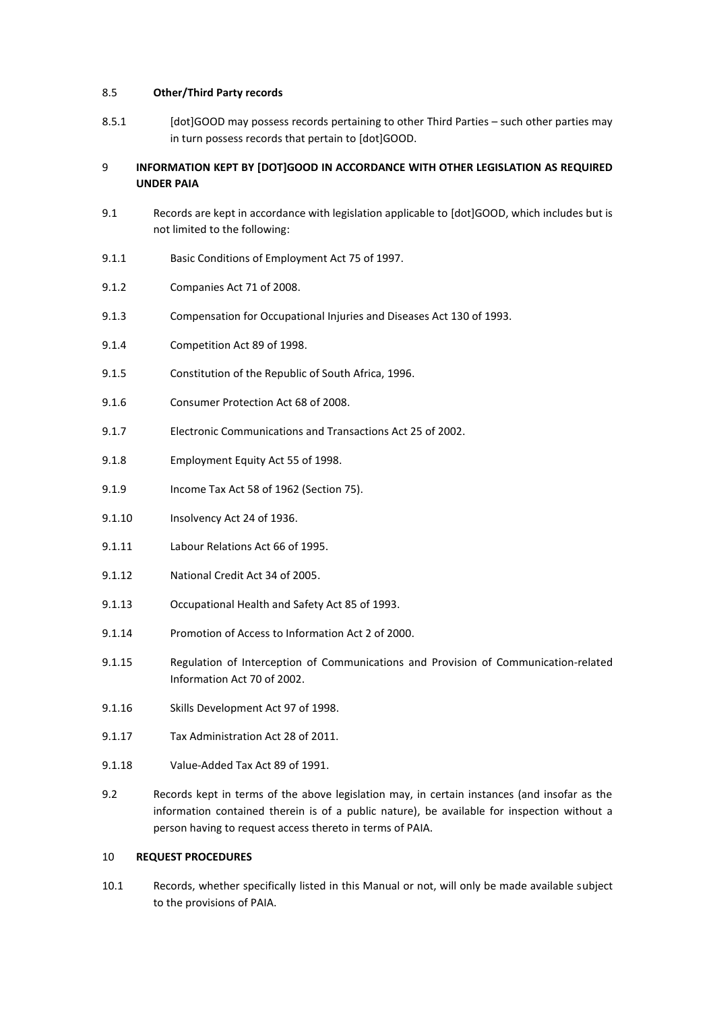# 8.5 **Other/Third Party records**

8.5.1 [dot]GOOD may possess records pertaining to other Third Parties – such other parties may in turn possess records that pertain to [dot]GOOD.

# 9 **INFORMATION KEPT BY [DOT]GOOD IN ACCORDANCE WITH OTHER LEGISLATION AS REQUIRED UNDER PAIA**

- 9.1 Records are kept in accordance with legislation applicable to [dot]GOOD, which includes but is not limited to the following:
- 9.1.1 Basic Conditions of Employment Act 75 of 1997.
- 9.1.2 Companies Act 71 of 2008.
- 9.1.3 Compensation for Occupational Injuries and Diseases Act 130 of 1993.
- 9.1.4 Competition Act 89 of 1998.
- 9.1.5 Constitution of the Republic of South Africa, 1996.
- 9.1.6 Consumer Protection Act 68 of 2008.
- 9.1.7 Electronic Communications and Transactions Act 25 of 2002.
- 9.1.8 Employment Equity Act 55 of 1998.
- 9.1.9 Income Tax Act 58 of 1962 (Section 75).
- 9.1.10 Insolvency Act 24 of 1936.
- 9.1.11 Labour Relations Act 66 of 1995.
- 9.1.12 National Credit Act 34 of 2005.
- 9.1.13 Occupational Health and Safety Act 85 of 1993.
- 9.1.14 Promotion of Access to Information Act 2 of 2000.
- 9.1.15 Regulation of Interception of Communications and Provision of Communication-related Information Act 70 of 2002.
- 9.1.16 Skills Development Act 97 of 1998.
- 9.1.17 Tax Administration Act 28 of 2011.
- 9.1.18 Value-Added Tax Act 89 of 1991.
- 9.2 Records kept in terms of the above legislation may, in certain instances (and insofar as the information contained therein is of a public nature), be available for inspection without a person having to request access thereto in terms of PAIA.

# 10 **REQUEST PROCEDURES**

10.1 Records, whether specifically listed in this Manual or not, will only be made available subject to the provisions of PAIA.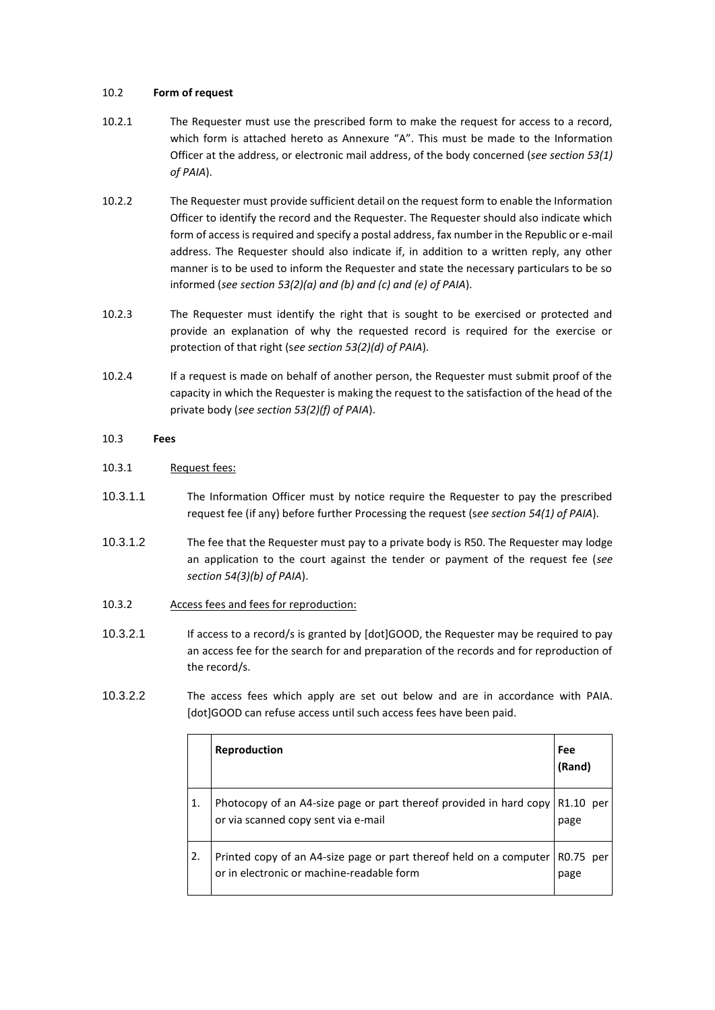# 10.2 **Form of request**

- 10.2.1 The Requester must use the prescribed form to make the request for access to a record, which form is attached hereto as Annexure "A". This must be made to the Information Officer at the address, or electronic mail address, of the body concerned (*see section 53(1) of PAIA*).
- 10.2.2 The Requester must provide sufficient detail on the request form to enable the Information Officer to identify the record and the Requester. The Requester should also indicate which form of access is required and specify a postal address, fax number in the Republic or e-mail address. The Requester should also indicate if, in addition to a written reply, any other manner is to be used to inform the Requester and state the necessary particulars to be so informed (*see section 53(2)(a) and (b) and (c) and (e) of PAIA*).
- 10.2.3 The Requester must identify the right that is sought to be exercised or protected and provide an explanation of why the requested record is required for the exercise or protection of that right (s*ee section 53(2)(d) of PAIA*).
- 10.2.4 If a request is made on behalf of another person, the Requester must submit proof of the capacity in which the Requester is making the request to the satisfaction of the head of the private body (*see section 53(2)(f) of PAIA*).

# 10.3 **Fees**

# 10.3.1 Request fees:

- 10.3.1.1 The Information Officer must by notice require the Requester to pay the prescribed request fee (if any) before further Processing the request (s*ee section 54(1) of PAIA*).
- 10.3.1.2 The fee that the Requester must pay to a private body is R50. The Requester may lodge an application to the court against the tender or payment of the request fee (*see section 54(3)(b) of PAIA*).
- 10.3.2 Access fees and fees for reproduction:
- 10.3.2.1 If access to a record/s is granted by [dot]GOOD, the Requester may be required to pay an access fee for the search for and preparation of the records and for reproduction of the record/s.
- 10.3.2.2 The access fees which apply are set out below and are in accordance with PAIA. [dot]GOOD can refuse access until such access fees have been paid.

|    | <b>Reproduction</b>                                                                                             | Fee<br>(Rand)     |
|----|-----------------------------------------------------------------------------------------------------------------|-------------------|
|    | Photocopy of an A4-size page or part thereof provided in hard copy<br>or via scanned copy sent via e-mail       | R1.10 per<br>page |
| 2. | Printed copy of an A4-size page or part thereof held on a computer<br>or in electronic or machine-readable form | R0.75 per<br>page |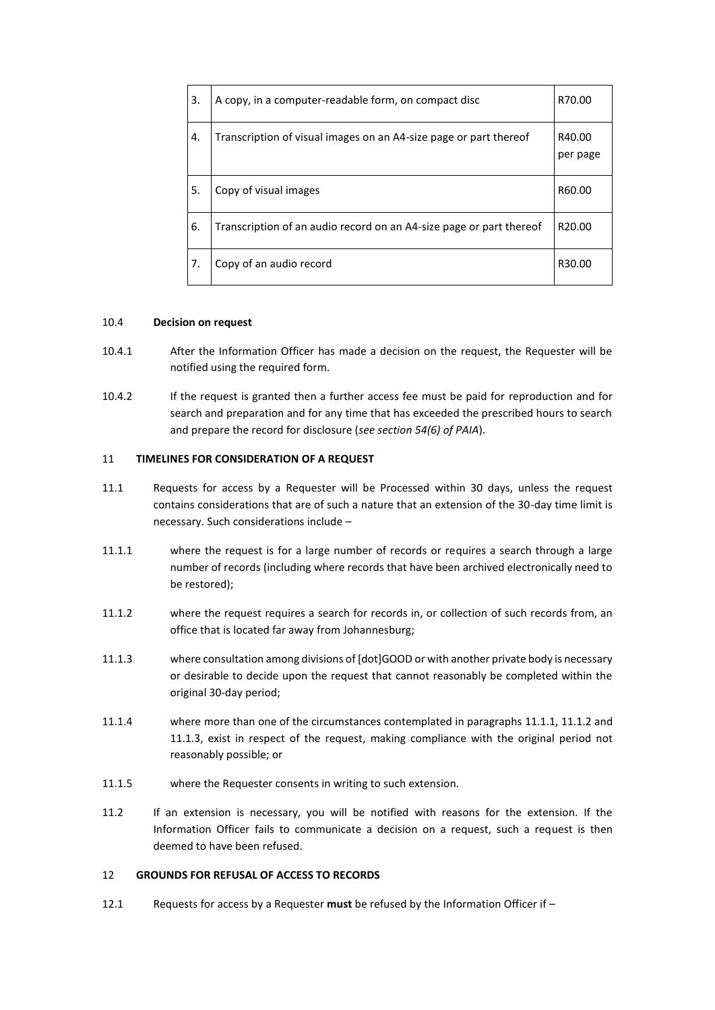| 3. | A copy, in a computer-readable form, on compact disc                | R70.00             |
|----|---------------------------------------------------------------------|--------------------|
| 4. | Transcription of visual images on an A4-size page or part thereof   | R40.00<br>per page |
| 5. | Copy of visual images                                               | R60.00             |
| 6. | Transcription of an audio record on an A4-size page or part thereof | R <sub>20.00</sub> |
| 7. | Copy of an audio record                                             | R <sub>30.00</sub> |

# 10.4 **Decision on request**

- 10.4.1 After the Information Officer has made a decision on the request, the Requester will be notified using the required form.
- 10.4.2 If the request is granted then a further access fee must be paid for reproduction and for search and preparation and for any time that has exceeded the prescribed hours to search and prepare the record for disclosure (*see section 54(6) of PAIA*).

#### 11 **TIMELINES FOR CONSIDERATION OF A REQUEST**

- 11.1 Requests for access by a Requester will be Processed within 30 days, unless the request contains considerations that are of such a nature that an extension of the 30-day time limit is necessary. Such considerations include –
- <span id="page-8-0"></span>11.1.1 where the request is for a large number of records or requires a search through a large number of records (including where records that have been archived electronically need to be restored);
- <span id="page-8-1"></span>11.1.2 where the request requires a search for records in, or collection of such records from, an office that is located far away from Johannesburg;
- <span id="page-8-2"></span>11.1.3 where consultation among divisions of [dot]GOOD or with another private body is necessary or desirable to decide upon the request that cannot reasonably be completed within the original 30-day period;
- 11.1.4 where more than one of the circumstances contemplated in paragraphs [11.1.1,](#page-8-0) [11.1.2](#page-8-1) and [11.1.3,](#page-8-2) exist in respect of the request, making compliance with the original period not reasonably possible; or
- 11.1.5 where the Requester consents in writing to such extension.
- 11.2 If an extension is necessary, you will be notified with reasons for the extension. If the Information Officer fails to communicate a decision on a request, such a request is then deemed to have been refused.

#### 12 **GROUNDS FOR REFUSAL OF ACCESS TO RECORDS**

12.1 Requests for access by a Requester **must** be refused by the Information Officer if –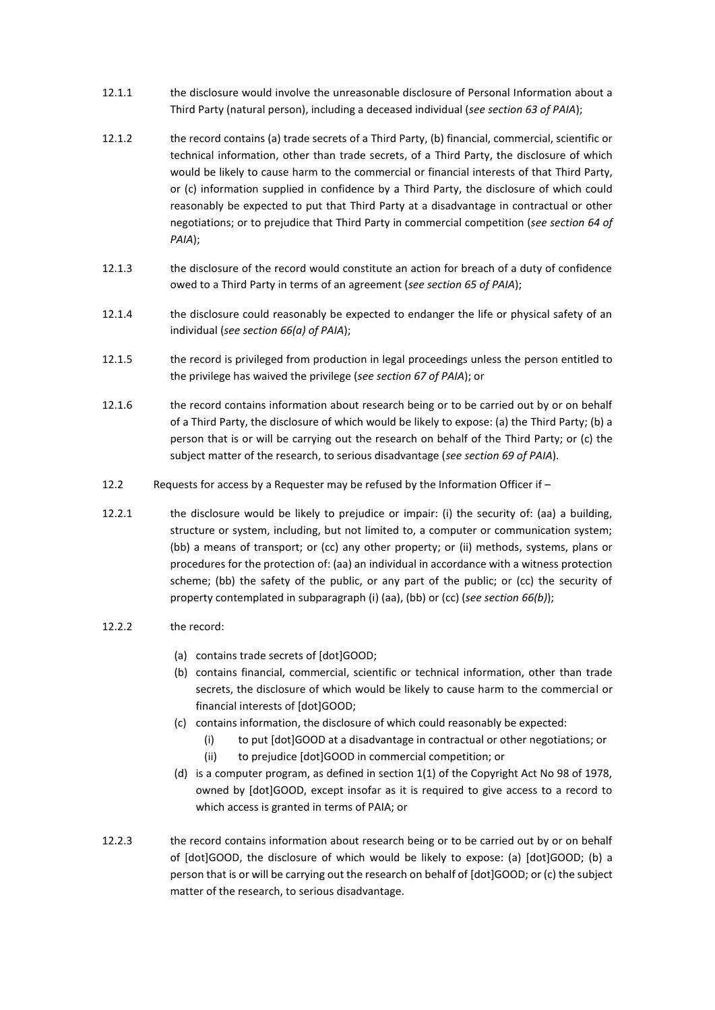- 12.1.1 the disclosure would involve the unreasonable disclosure of Personal Information about a Third Party (natural person), including a deceased individual (*see section 63 of PAIA*);
- 12.1.2 the record contains (a) trade secrets of a Third Party, (b) financial, commercial, scientific or technical information, other than trade secrets, of a Third Party, the disclosure of which would be likely to cause harm to the commercial or financial interests of that Third Party, or (c) information supplied in confidence by a Third Party, the disclosure of which could reasonably be expected to put that Third Party at a disadvantage in contractual or other negotiations; or to prejudice that Third Party in commercial competition (*see section 64 of PAIA*);
- 12.1.3 the disclosure of the record would constitute an action for breach of a duty of confidence owed to a Third Party in terms of an agreement (*see section 65 of PAIA*);
- 12.1.4 the disclosure could reasonably be expected to endanger the life or physical safety of an individual (*see section 66(a) of PAIA*);
- 12.1.5 the record is privileged from production in legal proceedings unless the person entitled to the privilege has waived the privilege (*see section 67 of PAIA*); or
- 12.1.6 the record contains information about research being or to be carried out by or on behalf of a Third Party, the disclosure of which would be likely to expose: (a) the Third Party; (b) a person that is or will be carrying out the research on behalf of the Third Party; or (c) the subject matter of the research, to serious disadvantage (*see section 69 of PAIA*).
- 12.2 Requests for access by a Requester may be refused by the Information Officer if –
- 12.2.1 the disclosure would be likely to prejudice or impair: (i) the security of: (aa) a building, structure or system, including, but not limited to, a computer or communication system; (bb) a means of transport; or (cc) any other property; or (ii) methods, systems, plans or procedures for the protection of: (aa) an individual in accordance with a witness protection scheme; (bb) the safety of the public, or any part of the public; or (cc) the security of property contemplated in subparagraph (i) (aa), (bb) or (cc) (*see section 66(b)*);
- 12.2.2 the record:
	- (a) contains trade secrets of [dot]GOOD;
	- (b) contains financial, commercial, scientific or technical information, other than trade secrets, the disclosure of which would be likely to cause harm to the commercial or financial interests of [dot]GOOD;
	- (c) contains information, the disclosure of which could reasonably be expected:
		- (i) to put [dot]GOOD at a disadvantage in contractual or other negotiations; or
		- (ii) to prejudice [dot]GOOD in commercial competition; or
	- (d) is a computer program, as defined in section 1(1) of the Copyright Act No 98 of 1978, owned by [dot]GOOD, except insofar as it is required to give access to a record to which access is granted in terms of PAIA; or
- 12.2.3 the record contains information about research being or to be carried out by or on behalf of [dot]GOOD, the disclosure of which would be likely to expose: (a) [dot]GOOD; (b) a person that is or will be carrying out the research on behalf of [dot]GOOD; or (c) the subject matter of the research, to serious disadvantage.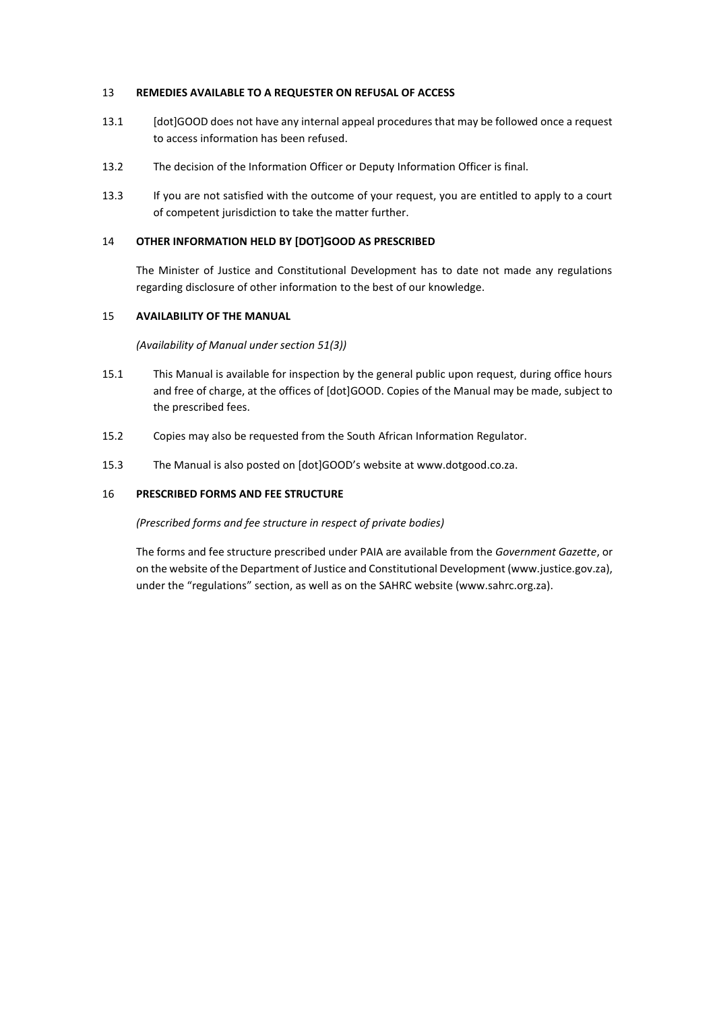## 13 **REMEDIES AVAILABLE TO A REQUESTER ON REFUSAL OF ACCESS**

- 13.1 [dot]GOOD does not have any internal appeal procedures that may be followed once a request to access information has been refused.
- 13.2 The decision of the Information Officer or Deputy Information Officer is final.
- 13.3 If you are not satisfied with the outcome of your request, you are entitled to apply to a court of competent jurisdiction to take the matter further.

## 14 **OTHER INFORMATION HELD BY [DOT]GOOD AS PRESCRIBED**

The Minister of Justice and Constitutional Development has to date not made any regulations regarding disclosure of other information to the best of our knowledge.

#### 15 **AVAILABILITY OF THE MANUAL**

*(Availability of Manual under section 51(3))*

- 15.1 This Manual is available for inspection by the general public upon request, during office hours and free of charge, at the offices of [dot]GOOD. Copies of the Manual may be made, subject to the prescribed fees.
- 15.2 Copies may also be requested from the South African Information Regulator.
- 15.3 The Manual is also posted on [dot]GOOD's website at www.dotgood.co.za.

# 16 **PRESCRIBED FORMS AND FEE STRUCTURE**

#### *(Prescribed forms and fee structure in respect of private bodies)*

The forms and fee structure prescribed under PAIA are available from the *Government Gazette*, or on the website of the Department of Justice and Constitutional Development (www.justice.gov.za), under the "regulations" section, as well as on the SAHRC website (www.sahrc.org.za).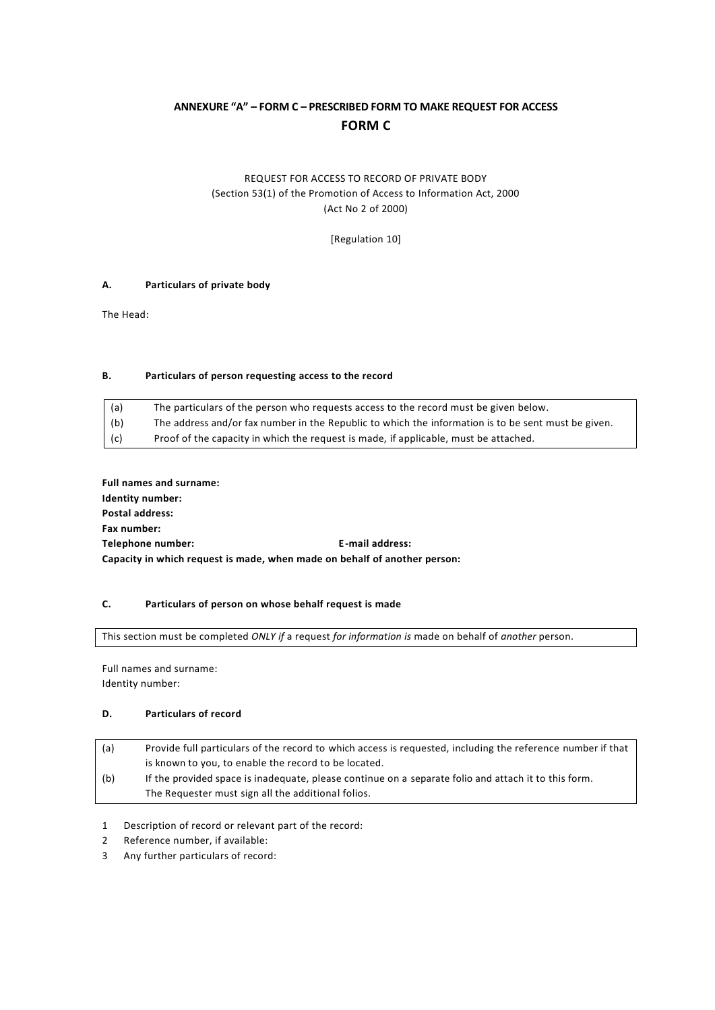# **ANNEXURE "A" – FORM C – PRESCRIBED FORM TO MAKE REQUEST FOR ACCESS FORM C**

# REQUEST FOR ACCESS TO RECORD OF PRIVATE BODY (Section 53(1) of the Promotion of Access to Information Act, 2000 (Act No 2 of 2000)

[Regulation 10]

# **A. Particulars of private body**

The Head:

#### **B. Particulars of person requesting access to the record**

| (a) | The particulars of the person who requests access to the record must be given below.                |
|-----|-----------------------------------------------------------------------------------------------------|
| (b) | The address and/or fax number in the Republic to which the information is to be sent must be given. |
| (c) | Proof of the capacity in which the request is made, if applicable, must be attached.                |

**Full names and surname: Identity number: Postal address: Fax number: Telephone number: E-mail address: Capacity in which request is made, when made on behalf of another person:**

#### **C. Particulars of person on whose behalf request is made**

This section must be completed *ONLY if* a request *for information is* made on behalf of *another* person.

Full names and surname: Identity number:

## **D. Particulars of record**

- (a) Provide full particulars of the record to which access is requested, including the reference number if that is known to you, to enable the record to be located. (b) If the provided space is inadequate, please continue on a separate folio and attach it to this form. The Requester must sign all the additional folios.
- 1 Description of record or relevant part of the record:
- 2 Reference number, if available:
- 3 Any further particulars of record: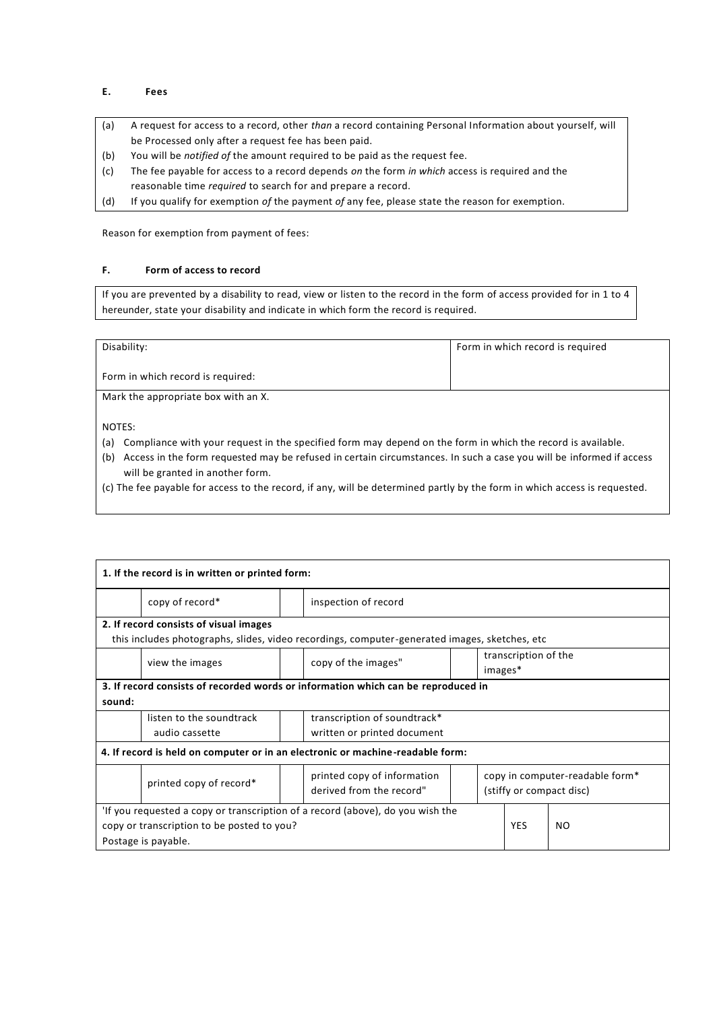# **E. Fees**

- (a) A request for access to a record, other *than* a record containing Personal Information about yourself, will be Processed only after a request fee has been paid.
- (b) You will be *notified of* the amount required to be paid as the request fee.
- (c) The fee payable for access to a record depends *on* the form *in which* access is required and the reasonable time *required* to search for and prepare a record.
- (d) If you qualify for exemption *of* the payment *of* any fee, please state the reason for exemption.

Reason for exemption from payment of fees:

#### **F. Form of access to record**

If you are prevented by a disability to read, view or listen to the record in the form of access provided for in 1 to 4 hereunder, state your disability and indicate in which form the record is required.

| Disability:                         | Form in which record is required |
|-------------------------------------|----------------------------------|
| Form in which record is required:   |                                  |
| Mark the appropriate box with an X. |                                  |

NOTES:

- (a) Compliance with your request in the specified form may depend on the form in which the record is available.
- (b) Access in the form requested may be refused in certain circumstances. In such a case you will be informed if access will be granted in another form.
- (c) The fee payable for access to the record, if any, will be determined partly by the form in which access is requested.

| 1. If the record is in written or printed form:                                |                                                                                   |  |                                                                                               |  |                      |     |                                 |  |
|--------------------------------------------------------------------------------|-----------------------------------------------------------------------------------|--|-----------------------------------------------------------------------------------------------|--|----------------------|-----|---------------------------------|--|
|                                                                                | copy of record*                                                                   |  | inspection of record                                                                          |  |                      |     |                                 |  |
|                                                                                | 2. If record consists of visual images                                            |  |                                                                                               |  |                      |     |                                 |  |
|                                                                                |                                                                                   |  | this includes photographs, slides, video recordings, computer-generated images, sketches, etc |  |                      |     |                                 |  |
|                                                                                |                                                                                   |  |                                                                                               |  | transcription of the |     |                                 |  |
|                                                                                | view the images                                                                   |  | copy of the images"                                                                           |  | images*              |     |                                 |  |
|                                                                                | 3. If record consists of recorded words or information which can be reproduced in |  |                                                                                               |  |                      |     |                                 |  |
| sound:                                                                         |                                                                                   |  |                                                                                               |  |                      |     |                                 |  |
|                                                                                | listen to the soundtrack                                                          |  | transcription of soundtrack*                                                                  |  |                      |     |                                 |  |
|                                                                                | audio cassette                                                                    |  | written or printed document                                                                   |  |                      |     |                                 |  |
| 4. If record is held on computer or in an electronic or machine-readable form: |                                                                                   |  |                                                                                               |  |                      |     |                                 |  |
|                                                                                |                                                                                   |  | printed copy of information                                                                   |  |                      |     | copy in computer-readable form* |  |
|                                                                                | printed copy of record*                                                           |  | derived from the record"                                                                      |  |                      |     | (stiffy or compact disc)        |  |
| 'If you requested a copy or transcription of a record (above), do you wish the |                                                                                   |  |                                                                                               |  |                      |     |                                 |  |
| copy or transcription to be posted to you?                                     |                                                                                   |  |                                                                                               |  | <b>YES</b>           | NO. |                                 |  |
| Postage is payable.                                                            |                                                                                   |  |                                                                                               |  |                      |     |                                 |  |